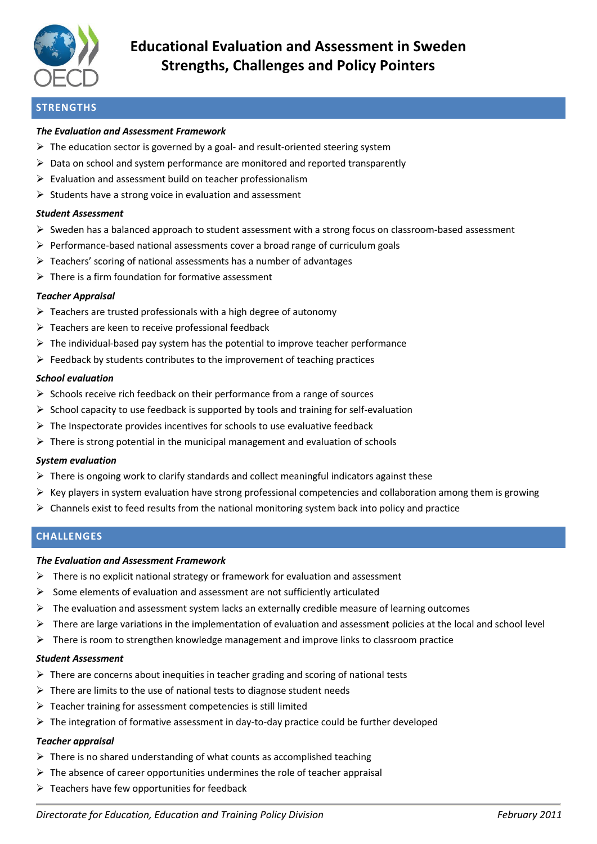

# **Educational Evaluation and Assessment in Sweden Strengths, Challenges and Policy Pointers**

# **STRENGTHS**

## *The Evaluation and Assessment Framework*

- $\triangleright$  The education sector is governed by a goal- and result-oriented steering system
- $\triangleright$  Data on school and system performance are monitored and reported transparently
- $\triangleright$  Evaluation and assessment build on teacher professionalism
- $\triangleright$  Students have a strong voice in evaluation and assessment

### *Student Assessment*

- Sweden has a balanced approach to student assessment with a strong focus on classroom-based assessment
- $\triangleright$  Performance-based national assessments cover a broad range of curriculum goals
- $\triangleright$  Teachers' scoring of national assessments has a number of advantages
- $\triangleright$  There is a firm foundation for formative assessment

# *Teacher Appraisal*

- $\triangleright$  Teachers are trusted professionals with a high degree of autonomy
- $\triangleright$  Teachers are keen to receive professional feedback
- $\triangleright$  The individual-based pay system has the potential to improve teacher performance
- $\triangleright$  Feedback by students contributes to the improvement of teaching practices

# *School evaluation*

- $\triangleright$  Schools receive rich feedback on their performance from a range of sources
- $\triangleright$  School capacity to use feedback is supported by tools and training for self-evaluation
- $\triangleright$  The Inspectorate provides incentives for schools to use evaluative feedback
- $\triangleright$  There is strong potential in the municipal management and evaluation of schools

### *System evaluation*

- $\triangleright$  There is ongoing work to clarify standards and collect meaningful indicators against these
- $\triangleright$  Key players in system evaluation have strong professional competencies and collaboration among them is growing
- $\triangleright$  Channels exist to feed results from the national monitoring system back into policy and practice

# **CHALLENGES**

### *The Evaluation and Assessment Framework*

- $\triangleright$  There is no explicit national strategy or framework for evaluation and assessment
- $\triangleright$  Some elements of evaluation and assessment are not sufficiently articulated
- $\triangleright$  The evaluation and assessment system lacks an externally credible measure of learning outcomes
- $\triangleright$  There are large variations in the implementation of evaluation and assessment policies at the local and school level
- $\triangleright$  There is room to strengthen knowledge management and improve links to classroom practice

### *Student Assessment*

- $\triangleright$  There are concerns about inequities in teacher grading and scoring of national tests
- $\triangleright$  There are limits to the use of national tests to diagnose student needs
- Teacher training for assessment competencies is still limited
- $\triangleright$  The integration of formative assessment in day-to-day practice could be further developed

### *Teacher appraisal*

- $\triangleright$  There is no shared understanding of what counts as accomplished teaching
- $\triangleright$  The absence of career opportunities undermines the role of teacher appraisal
- $\triangleright$  Teachers have few opportunities for feedback